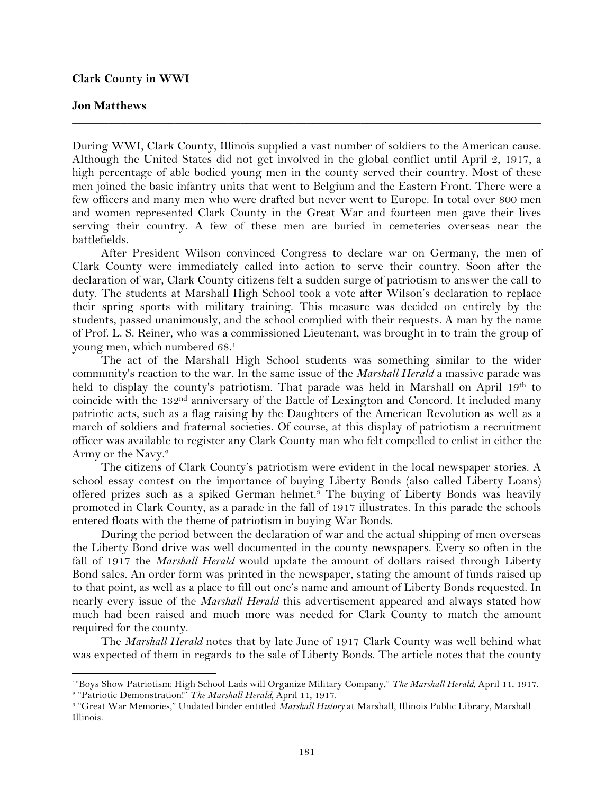## **Clark County in WWI**

!!!!!!!!!!!!!!!!!!!!!!!!!!!!!!!!!!!!!!!!!!!!!!!!!!!!!!!!!!!!

## **Jon Matthews**

During WWI, Clark County, Illinois supplied a vast number of soldiers to the American cause. Although the United States did not get involved in the global conflict until April 2, 1917, a high percentage of able bodied young men in the county served their country. Most of these men joined the basic infantry units that went to Belgium and the Eastern Front. There were a few officers and many men who were drafted but never went to Europe. In total over 800 men and women represented Clark County in the Great War and fourteen men gave their lives serving their country. A few of these men are buried in cemeteries overseas near the battlefields.

**\_\_\_\_\_\_\_\_\_\_\_\_\_\_\_\_\_\_\_\_\_\_\_\_\_\_\_\_\_\_\_\_\_\_\_\_\_\_\_\_\_\_\_\_\_\_\_\_\_\_\_\_\_\_\_\_\_\_\_\_\_\_\_\_\_\_\_\_\_\_\_\_\_\_\_\_\_\_**

After President Wilson convinced Congress to declare war on Germany, the men of Clark County were immediately called into action to serve their country. Soon after the declaration of war, Clark County citizens felt a sudden surge of patriotism to answer the call to duty. The students at Marshall High School took a vote after Wilson's declaration to replace their spring sports with military training. This measure was decided on entirely by the students, passed unanimously, and the school complied with their requests. A man by the name of Prof. L. S. Reiner, who was a commissioned Lieutenant, was brought in to train the group of young men, which numbered 68.1

The act of the Marshall High School students was something similar to the wider community's reaction to the war. In the same issue of the *Marshall Herald* a massive parade was held to display the county's patriotism. That parade was held in Marshall on April 19th to coincide with the 132<sup>nd</sup> anniversary of the Battle of Lexington and Concord. It included many patriotic acts, such as a flag raising by the Daughters of the American Revolution as well as a march of soldiers and fraternal societies. Of course, at this display of patriotism a recruitment officer was available to register any Clark County man who felt compelled to enlist in either the Army or the Navy.2

The citizens of Clark County's patriotism were evident in the local newspaper stories. A school essay contest on the importance of buying Liberty Bonds (also called Liberty Loans) offered prizes such as a spiked German helmet.3 The buying of Liberty Bonds was heavily promoted in Clark County, as a parade in the fall of 1917 illustrates. In this parade the schools entered floats with the theme of patriotism in buying War Bonds.

During the period between the declaration of war and the actual shipping of men overseas the Liberty Bond drive was well documented in the county newspapers. Every so often in the fall of 1917 the *Marshall Herald* would update the amount of dollars raised through Liberty Bond sales. An order form was printed in the newspaper, stating the amount of funds raised up to that point, as well as a place to fill out one's name and amount of Liberty Bonds requested. In nearly every issue of the *Marshall Herald* this advertisement appeared and always stated how much had been raised and much more was needed for Clark County to match the amount required for the county.

The *Marshall Herald* notes that by late June of 1917 Clark County was well behind what was expected of them in regards to the sale of Liberty Bonds. The article notes that the county

<sup>1&</sup>quot;Boys Show Patriotism: High School Lads will Organize Military Company," *The Marshall Herald,* April 11, 1917. <sup>2</sup> "Patriotic Demonstration!" *The Marshall Herald,* April 11, 1917.

<sup>3</sup> "Great War Memories," Undated binder entitled *Marshall History* at Marshall, Illinois Public Library, Marshall Illinois.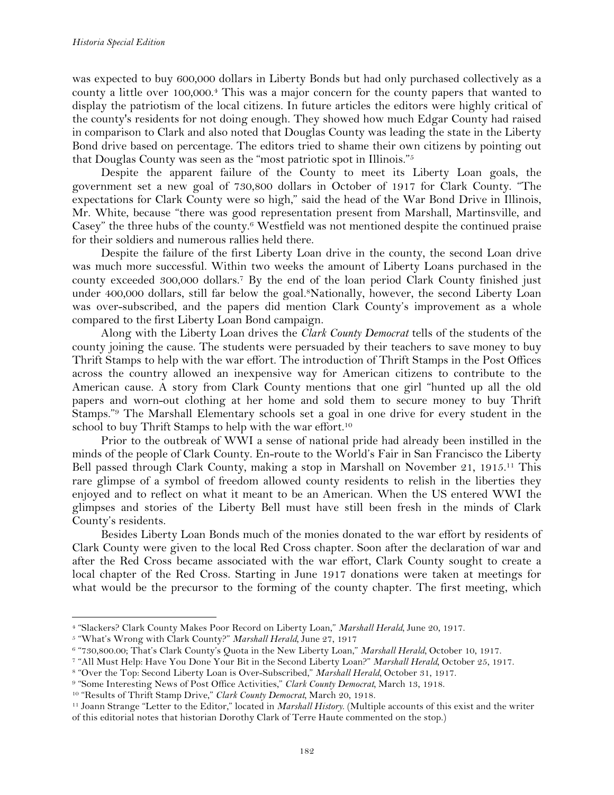was expected to buy 600,000 dollars in Liberty Bonds but had only purchased collectively as a county a little over 100,000.4 This was a major concern for the county papers that wanted to display the patriotism of the local citizens. In future articles the editors were highly critical of the county's residents for not doing enough. They showed how much Edgar County had raised in comparison to Clark and also noted that Douglas County was leading the state in the Liberty Bond drive based on percentage. The editors tried to shame their own citizens by pointing out that Douglas County was seen as the "most patriotic spot in Illinois."5

Despite the apparent failure of the County to meet its Liberty Loan goals, the government set a new goal of 730,800 dollars in October of 1917 for Clark County. "The expectations for Clark County were so high," said the head of the War Bond Drive in Illinois, Mr. White, because "there was good representation present from Marshall, Martinsville, and Casey" the three hubs of the county.<sup>6</sup> Westfield was not mentioned despite the continued praise for their soldiers and numerous rallies held there.

Despite the failure of the first Liberty Loan drive in the county, the second Loan drive was much more successful. Within two weeks the amount of Liberty Loans purchased in the county exceeded 300,000 dollars.7 By the end of the loan period Clark County finished just under 400,000 dollars, still far below the goal.8Nationally, however, the second Liberty Loan was over-subscribed, and the papers did mention Clark County's improvement as a whole compared to the first Liberty Loan Bond campaign.

Along with the Liberty Loan drives the *Clark County Democrat* tells of the students of the county joining the cause. The students were persuaded by their teachers to save money to buy Thrift Stamps to help with the war effort. The introduction of Thrift Stamps in the Post Offices across the country allowed an inexpensive way for American citizens to contribute to the American cause. A story from Clark County mentions that one girl "hunted up all the old papers and worn-out clothing at her home and sold them to secure money to buy Thrift Stamps."9 The Marshall Elementary schools set a goal in one drive for every student in the school to buy Thrift Stamps to help with the war effort.<sup>10</sup>

Prior to the outbreak of WWI a sense of national pride had already been instilled in the minds of the people of Clark County. En-route to the World's Fair in San Francisco the Liberty Bell passed through Clark County, making a stop in Marshall on November 21, 1915.<sup>11</sup> This rare glimpse of a symbol of freedom allowed county residents to relish in the liberties they enjoyed and to reflect on what it meant to be an American. When the US entered WWI the glimpses and stories of the Liberty Bell must have still been fresh in the minds of Clark County's residents.

Besides Liberty Loan Bonds much of the monies donated to the war effort by residents of Clark County were given to the local Red Cross chapter. Soon after the declaration of war and after the Red Cross became associated with the war effort, Clark County sought to create a local chapter of the Red Cross. Starting in June 1917 donations were taken at meetings for what would be the precursor to the forming of the county chapter. The first meeting, which

!!!!!!!!!!!!!!!!!!!!!!!!!!!!!!!!!!!!!!!!!!!!!!!!!!!!!!!!!!!!

<sup>7</sup> "All Must Help: Have You Done Your Bit in the Second Liberty Loan?" *Marshall Herald,* October 25, 1917.

<sup>9</sup> "Some Interesting News of Post Office Activities," *Clark County Democrat,* March 13, 1918.

<sup>4</sup> "Slackers? Clark County Makes Poor Record on Liberty Loan," *Marshall Herald,* June 20, 1917.

<sup>5</sup> "What's Wrong with Clark County?" *Marshall Herald,* June 27, 1917

<sup>6</sup> "730,800.00; That's Clark County's Quota in the New Liberty Loan," *Marshall Herald,* October 10, 1917.

<sup>8</sup> "Over the Top: Second Liberty Loan is Over-Subscribed," *Marshall Herald,* October 31, 1917.

<sup>10</sup> "Results of Thrift Stamp Drive," *Clark County Democrat,* March 20, 1918.

<sup>11</sup> Joann Strange "Letter to the Editor," located in *Marshall History*. (Multiple accounts of this exist and the writer of this editorial notes that historian Dorothy Clark of Terre Haute commented on the stop.)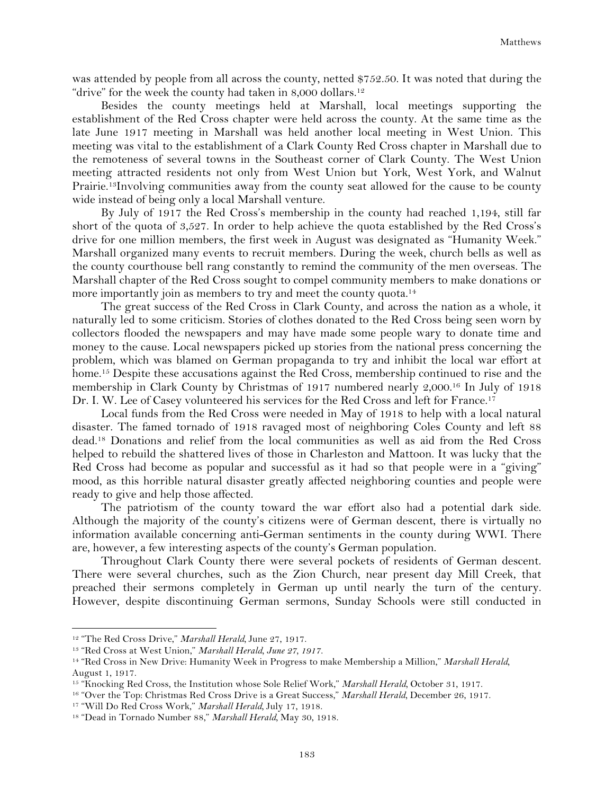was attended by people from all across the county, netted \$752.50. It was noted that during the "drive" for the week the county had taken in 8,000 dollars.<sup>12</sup>

Besides the county meetings held at Marshall, local meetings supporting the establishment of the Red Cross chapter were held across the county. At the same time as the late June 1917 meeting in Marshall was held another local meeting in West Union. This meeting was vital to the establishment of a Clark County Red Cross chapter in Marshall due to the remoteness of several towns in the Southeast corner of Clark County. The West Union meeting attracted residents not only from West Union but York, West York, and Walnut Prairie.13Involving communities away from the county seat allowed for the cause to be county wide instead of being only a local Marshall venture.

By July of 1917 the Red Cross's membership in the county had reached 1,194, still far short of the quota of 3,527. In order to help achieve the quota established by the Red Cross's drive for one million members, the first week in August was designated as "Humanity Week." Marshall organized many events to recruit members. During the week, church bells as well as the county courthouse bell rang constantly to remind the community of the men overseas. The Marshall chapter of the Red Cross sought to compel community members to make donations or more importantly join as members to try and meet the county quota.<sup>14</sup>

The great success of the Red Cross in Clark County, and across the nation as a whole, it naturally led to some criticism. Stories of clothes donated to the Red Cross being seen worn by collectors flooded the newspapers and may have made some people wary to donate time and money to the cause. Local newspapers picked up stories from the national press concerning the problem, which was blamed on German propaganda to try and inhibit the local war effort at home.<sup>15</sup> Despite these accusations against the Red Cross, membership continued to rise and the membership in Clark County by Christmas of 1917 numbered nearly 2,000.16 In July of 1918 Dr. I. W. Lee of Casey volunteered his services for the Red Cross and left for France.<sup>17</sup>

Local funds from the Red Cross were needed in May of 1918 to help with a local natural disaster. The famed tornado of 1918 ravaged most of neighboring Coles County and left 88 dead.18 Donations and relief from the local communities as well as aid from the Red Cross helped to rebuild the shattered lives of those in Charleston and Mattoon. It was lucky that the Red Cross had become as popular and successful as it had so that people were in a "giving" mood, as this horrible natural disaster greatly affected neighboring counties and people were ready to give and help those affected.

The patriotism of the county toward the war effort also had a potential dark side. Although the majority of the county's citizens were of German descent, there is virtually no information available concerning anti-German sentiments in the county during WWI. There are, however, a few interesting aspects of the county's German population.

Throughout Clark County there were several pockets of residents of German descent. There were several churches, such as the Zion Church, near present day Mill Creek, that preached their sermons completely in German up until nearly the turn of the century. However, despite discontinuing German sermons, Sunday Schools were still conducted in

<sup>12</sup> "The Red Cross Drive," *Marshall Herald,* June 27, 1917.

<sup>13</sup> "Red Cross at West Union," *Marshall Herald, June 27, 1917.*

<sup>14</sup> "Red Cross in New Drive: Humanity Week in Progress to make Membership a Million," *Marshall Herald,*  August 1, 1917.

<sup>15</sup> "Knocking Red Cross, the Institution whose Sole Relief Work," *Marshall Herald,* October 31, 1917.

<sup>16</sup> "Over the Top: Christmas Red Cross Drive is a Great Success," *Marshall Herald,* December 26, 1917.

<sup>17</sup> "Will Do Red Cross Work," *Marshall Herald,* July 17, 1918.

<sup>18</sup> "Dead in Tornado Number 88," *Marshall Herald,* May 30, 1918.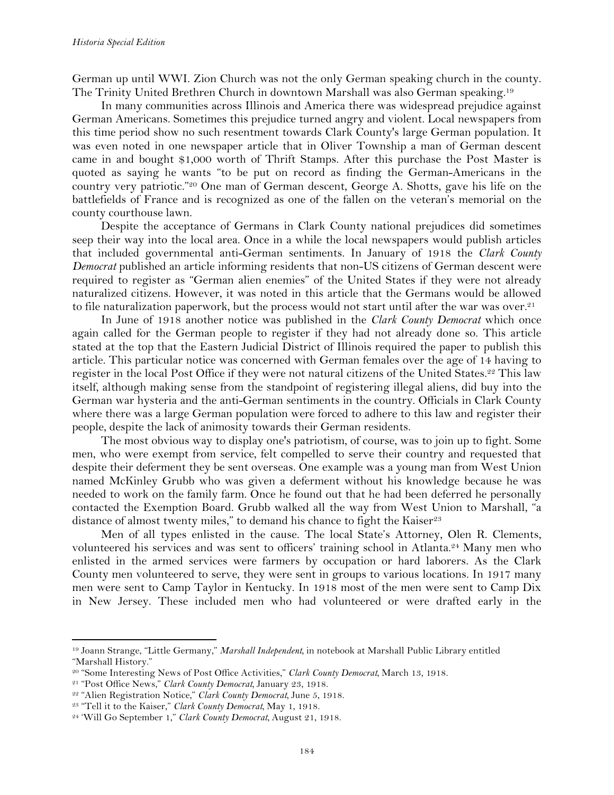German up until WWI. Zion Church was not the only German speaking church in the county. The Trinity United Brethren Church in downtown Marshall was also German speaking.19

In many communities across Illinois and America there was widespread prejudice against German Americans. Sometimes this prejudice turned angry and violent. Local newspapers from this time period show no such resentment towards Clark County's large German population. It was even noted in one newspaper article that in Oliver Township a man of German descent came in and bought \$1,000 worth of Thrift Stamps. After this purchase the Post Master is quoted as saying he wants "to be put on record as finding the German-Americans in the country very patriotic."20 One man of German descent, George A. Shotts, gave his life on the battlefields of France and is recognized as one of the fallen on the veteran's memorial on the county courthouse lawn.

Despite the acceptance of Germans in Clark County national prejudices did sometimes seep their way into the local area. Once in a while the local newspapers would publish articles that included governmental anti-German sentiments. In January of 1918 the *Clark County Democrat* published an article informing residents that non-US citizens of German descent were required to register as "German alien enemies" of the United States if they were not already naturalized citizens. However, it was noted in this article that the Germans would be allowed to file naturalization paperwork, but the process would not start until after the war was over.21

In June of 1918 another notice was published in the *Clark County Democrat* which once again called for the German people to register if they had not already done so. This article stated at the top that the Eastern Judicial District of Illinois required the paper to publish this article. This particular notice was concerned with German females over the age of 14 having to register in the local Post Office if they were not natural citizens of the United States.22 This law itself, although making sense from the standpoint of registering illegal aliens, did buy into the German war hysteria and the anti-German sentiments in the country. Officials in Clark County where there was a large German population were forced to adhere to this law and register their people, despite the lack of animosity towards their German residents.

The most obvious way to display one's patriotism, of course, was to join up to fight. Some men, who were exempt from service, felt compelled to serve their country and requested that despite their deferment they be sent overseas. One example was a young man from West Union named McKinley Grubb who was given a deferment without his knowledge because he was needed to work on the family farm. Once he found out that he had been deferred he personally contacted the Exemption Board. Grubb walked all the way from West Union to Marshall, "a distance of almost twenty miles," to demand his chance to fight the Kaiser<sup>23</sup>

Men of all types enlisted in the cause. The local State's Attorney, Olen R. Clements, volunteered his services and was sent to officers' training school in Atlanta.24 Many men who enlisted in the armed services were farmers by occupation or hard laborers. As the Clark County men volunteered to serve, they were sent in groups to various locations. In 1917 many men were sent to Camp Taylor in Kentucky. In 1918 most of the men were sent to Camp Dix in New Jersey. These included men who had volunteered or were drafted early in the

<sup>19</sup> Joann Strange, "Little Germany," *Marshall Independent,* in notebook at Marshall Public Library entitled "Marshall History."

<sup>20</sup> "Some Interesting News of Post Office Activities," *Clark County Democrat,* March 13, 1918.

<sup>21</sup> "Post Office News," *Clark County Democrat,* January 23, 1918.

<sup>22</sup> "Alien Registration Notice," *Clark County Democrat,* June 5, 1918.

<sup>23</sup> "Tell it to the Kaiser," *Clark County Democrat,* May 1, 1918.

<sup>24</sup> 'Will Go September 1," *Clark County Democrat,* August 21, 1918.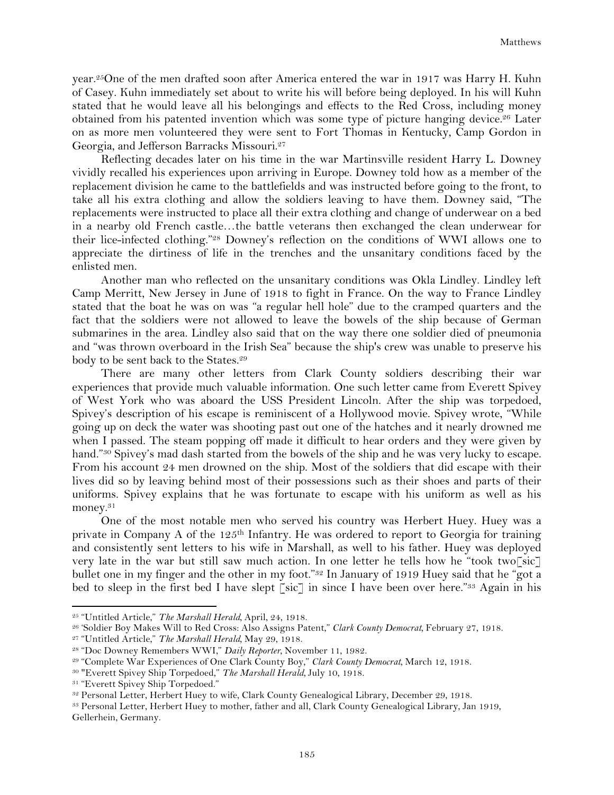year.25One of the men drafted soon after America entered the war in 1917 was Harry H. Kuhn of Casey. Kuhn immediately set about to write his will before being deployed. In his will Kuhn stated that he would leave all his belongings and effects to the Red Cross, including money obtained from his patented invention which was some type of picture hanging device.26 Later on as more men volunteered they were sent to Fort Thomas in Kentucky, Camp Gordon in Georgia, and Jefferson Barracks Missouri.27

Reflecting decades later on his time in the war Martinsville resident Harry L. Downey vividly recalled his experiences upon arriving in Europe. Downey told how as a member of the replacement division he came to the battlefields and was instructed before going to the front, to take all his extra clothing and allow the soldiers leaving to have them. Downey said, "The replacements were instructed to place all their extra clothing and change of underwear on a bed in a nearby old French castle…the battle veterans then exchanged the clean underwear for their lice-infected clothing."28 Downey's reflection on the conditions of WWI allows one to appreciate the dirtiness of life in the trenches and the unsanitary conditions faced by the enlisted men.

Another man who reflected on the unsanitary conditions was Okla Lindley. Lindley left Camp Merritt, New Jersey in June of 1918 to fight in France. On the way to France Lindley stated that the boat he was on was "a regular hell hole" due to the cramped quarters and the fact that the soldiers were not allowed to leave the bowels of the ship because of German submarines in the area. Lindley also said that on the way there one soldier died of pneumonia and "was thrown overboard in the Irish Sea" because the ship's crew was unable to preserve his body to be sent back to the States.29

There are many other letters from Clark County soldiers describing their war experiences that provide much valuable information. One such letter came from Everett Spivey of West York who was aboard the USS President Lincoln. After the ship was torpedoed, Spivey's description of his escape is reminiscent of a Hollywood movie. Spivey wrote, "While going up on deck the water was shooting past out one of the hatches and it nearly drowned me when I passed. The steam popping off made it difficult to hear orders and they were given by hand."<sup>30</sup> Spivey's mad dash started from the bowels of the ship and he was very lucky to escape. From his account 24 men drowned on the ship. Most of the soldiers that did escape with their lives did so by leaving behind most of their possessions such as their shoes and parts of their uniforms. Spivey explains that he was fortunate to escape with his uniform as well as his money.31

One of the most notable men who served his country was Herbert Huey. Huey was a private in Company A of the 125<sup>th</sup> Infantry. He was ordered to report to Georgia for training and consistently sent letters to his wife in Marshall, as well to his father. Huey was deployed very late in the war but still saw much action. In one letter he tells how he "took two<sup>rsic</sup>" bullet one in my finger and the other in my foot."<sup>32</sup> In January of 1919 Huey said that he "got a bed to sleep in the first bed I have slept [sic] in since I have been over here."<sup>33</sup> Again in his

<sup>25</sup> "Untitled Article," *The Marshall Herald,* April, 24, 1918.

<sup>26</sup> 'Soldier Boy Makes Will to Red Cross: Also Assigns Patent," *Clark County Democrat,* February 27, 1918.

<sup>27</sup> "Untitled Article," *The Marshall Herald,* May 29, 1918.

<sup>28</sup> "Doc Downey Remembers WWI," *Daily Reporter,* November 11, 1982.

<sup>29</sup> "Complete War Experiences of One Clark County Boy," *Clark County Democrat,* March 12, 1918.

<sup>30</sup> "Everett Spivey Ship Torpedoed," *The Marshall Herald,* July 10, 1918.

<sup>&</sup>lt;sup>31</sup> "Everett Spivey Ship Torpedoed."

<sup>32</sup> Personal Letter, Herbert Huey to wife, Clark County Genealogical Library, December 29, 1918.

<sup>33</sup> Personal Letter, Herbert Huey to mother, father and all, Clark County Genealogical Library, Jan 1919, Gellerhein, Germany.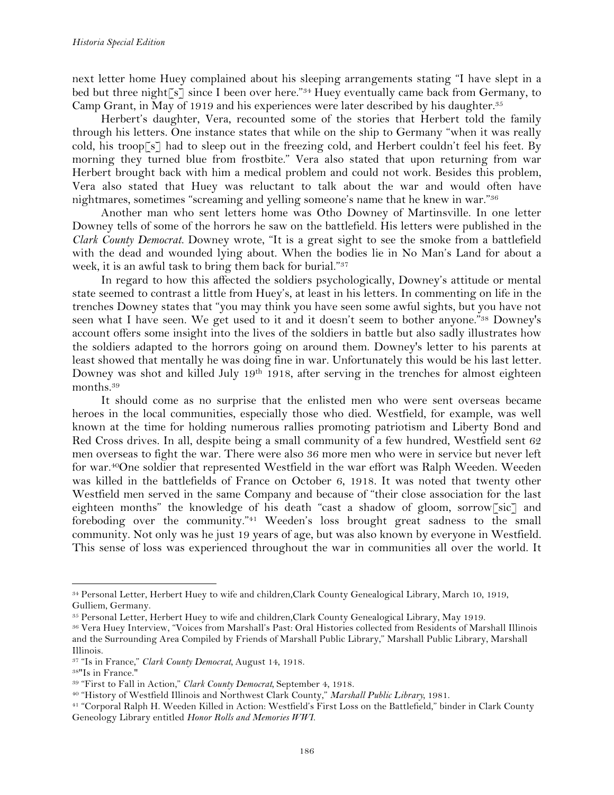next letter home Huey complained about his sleeping arrangements stating "I have slept in a bed but three night<sup> $\lceil s \rceil$ </sup> since I been over here."<sup>34</sup> Huey eventually came back from Germany, to Camp Grant, in May of 1919 and his experiences were later described by his daughter.<sup>35</sup>

Herbert's daughter, Vera, recounted some of the stories that Herbert told the family through his letters. One instance states that while on the ship to Germany "when it was really cold, his troop  $\lceil s \rceil$  had to sleep out in the freezing cold, and Herbert couldn't feel his feet. By morning they turned blue from frostbite." Vera also stated that upon returning from war Herbert brought back with him a medical problem and could not work. Besides this problem, Vera also stated that Huey was reluctant to talk about the war and would often have nightmares, sometimes "screaming and yelling someone's name that he knew in war."36

Another man who sent letters home was Otho Downey of Martinsville. In one letter Downey tells of some of the horrors he saw on the battlefield. His letters were published in the *Clark County Democrat.* Downey wrote, "It is a great sight to see the smoke from a battlefield with the dead and wounded lying about. When the bodies lie in No Man's Land for about a week, it is an awful task to bring them back for burial."37

In regard to how this affected the soldiers psychologically, Downey's attitude or mental state seemed to contrast a little from Huey's, at least in his letters. In commenting on life in the trenches Downey states that "you may think you have seen some awful sights, but you have not seen what I have seen. We get used to it and it doesn't seem to bother anyone."38 Downey's account offers some insight into the lives of the soldiers in battle but also sadly illustrates how the soldiers adapted to the horrors going on around them. Downey's letter to his parents at least showed that mentally he was doing fine in war. Unfortunately this would be his last letter. Downey was shot and killed July 19<sup>th</sup> 1918, after serving in the trenches for almost eighteen months.39

It should come as no surprise that the enlisted men who were sent overseas became heroes in the local communities, especially those who died. Westfield, for example, was well known at the time for holding numerous rallies promoting patriotism and Liberty Bond and Red Cross drives. In all, despite being a small community of a few hundred, Westfield sent 62 men overseas to fight the war. There were also 36 more men who were in service but never left for war.40One soldier that represented Westfield in the war effort was Ralph Weeden. Weeden was killed in the battlefields of France on October 6, 1918. It was noted that twenty other Westfield men served in the same Company and because of "their close association for the last eighteen months" the knowledge of his death "cast a shadow of gloom, sorrow[sic] and foreboding over the community."41 Weeden's loss brought great sadness to the small community. Not only was he just 19 years of age, but was also known by everyone in Westfield. This sense of loss was experienced throughout the war in communities all over the world. It

<sup>34</sup> Personal Letter, Herbert Huey to wife and children,Clark County Genealogical Library, March 10, 1919, Gulliem, Germany.

<sup>35</sup> Personal Letter, Herbert Huey to wife and children,Clark County Genealogical Library, May 1919.

<sup>36</sup> Vera Huey Interview, "Voices from Marshall's Past: Oral Histories collected from Residents of Marshall Illinois and the Surrounding Area Compiled by Friends of Marshall Public Library," Marshall Public Library, Marshall Illinois.

<sup>37</sup> "Is in France," *Clark County Democrat,* August 14, 1918.

<sup>38&</sup>quot;Is in France."

<sup>39</sup> "First to Fall in Action," *Clark County Democrat,* September 4, 1918.

<sup>40</sup> "History of Westfield Illinois and Northwest Clark County," *Marshall Public Library,* 1981.

<sup>41</sup> "Corporal Ralph H. Weeden Killed in Action: Westfield's First Loss on the Battlefield," binder in Clark County Geneology Library entitled *Honor Rolls and Memories WWI.*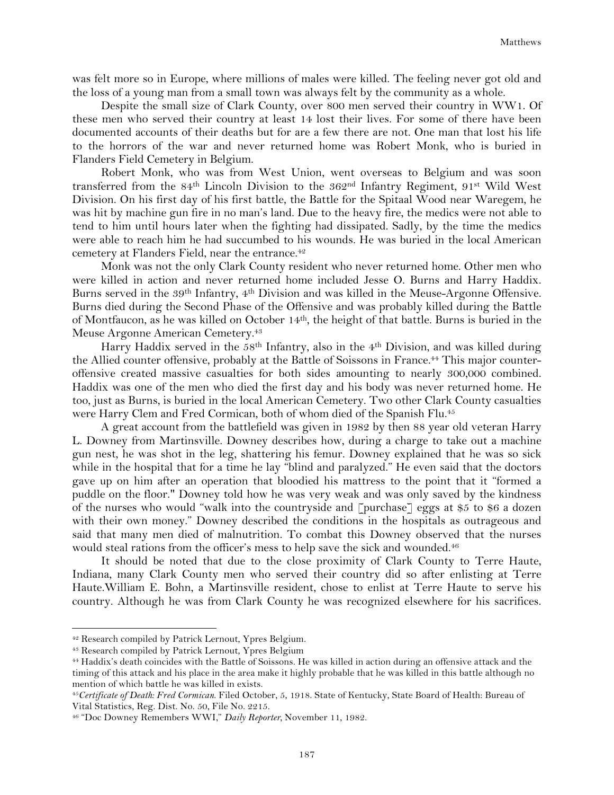was felt more so in Europe, where millions of males were killed. The feeling never got old and the loss of a young man from a small town was always felt by the community as a whole.

Despite the small size of Clark County, over 800 men served their country in WW1. Of these men who served their country at least 14 lost their lives. For some of there have been documented accounts of their deaths but for are a few there are not. One man that lost his life to the horrors of the war and never returned home was Robert Monk, who is buried in Flanders Field Cemetery in Belgium.

Robert Monk, who was from West Union, went overseas to Belgium and was soon transferred from the 84<sup>th</sup> Lincoln Division to the  $362<sup>nd</sup>$  Infantry Regiment, 91<sup>st</sup> Wild West Division. On his first day of his first battle, the Battle for the Spitaal Wood near Waregem, he was hit by machine gun fire in no man's land. Due to the heavy fire, the medics were not able to tend to him until hours later when the fighting had dissipated. Sadly, by the time the medics were able to reach him he had succumbed to his wounds. He was buried in the local American cemetery at Flanders Field, near the entrance.42

Monk was not the only Clark County resident who never returned home. Other men who were killed in action and never returned home included Jesse O. Burns and Harry Haddix. Burns served in the 39th Infantry, 4th Division and was killed in the Meuse-Argonne Offensive. Burns died during the Second Phase of the Offensive and was probably killed during the Battle of Montfaucon, as he was killed on October 14th, the height of that battle. Burns is buried in the Meuse Argonne American Cemetery.<sup>43</sup>

Harry Haddix served in the 58<sup>th</sup> Infantry, also in the 4<sup>th</sup> Division, and was killed during the Allied counter offensive, probably at the Battle of Soissons in France.<sup>44</sup> This major counteroffensive created massive casualties for both sides amounting to nearly 300,000 combined. Haddix was one of the men who died the first day and his body was never returned home. He too, just as Burns, is buried in the local American Cemetery. Two other Clark County casualties were Harry Clem and Fred Cormican, both of whom died of the Spanish Flu.45

A great account from the battlefield was given in 1982 by then 88 year old veteran Harry L. Downey from Martinsville. Downey describes how, during a charge to take out a machine gun nest, he was shot in the leg, shattering his femur. Downey explained that he was so sick while in the hospital that for a time he lay "blind and paralyzed." He even said that the doctors gave up on him after an operation that bloodied his mattress to the point that it "formed a puddle on the floor." Downey told how he was very weak and was only saved by the kindness of the nurses who would "walk into the countryside and [purchase] eggs at \$5 to \$6 a dozen with their own money." Downey described the conditions in the hospitals as outrageous and said that many men died of malnutrition. To combat this Downey observed that the nurses would steal rations from the officer's mess to help save the sick and wounded.<sup>46</sup>

It should be noted that due to the close proximity of Clark County to Terre Haute, Indiana, many Clark County men who served their country did so after enlisting at Terre Haute.William E. Bohn, a Martinsville resident, chose to enlist at Terre Haute to serve his country. Although he was from Clark County he was recognized elsewhere for his sacrifices.

<sup>42</sup> Research compiled by Patrick Lernout, Ypres Belgium.

<sup>43</sup> Research compiled by Patrick Lernout, Ypres Belgium

<sup>44</sup> Haddix's death coincides with the Battle of Soissons. He was killed in action during an offensive attack and the timing of this attack and his place in the area make it highly probable that he was killed in this battle although no mention of which battle he was killed in exists.

<sup>45</sup>*Certificate of Death: Fred Cormican*. Filed October, 5, 1918. State of Kentucky, State Board of Health: Bureau of Vital Statistics, Reg. Dist. No. 50, File No. 2215.

<sup>46</sup> "Doc Downey Remembers WWI," *Daily Reporter,* November 11, 1982.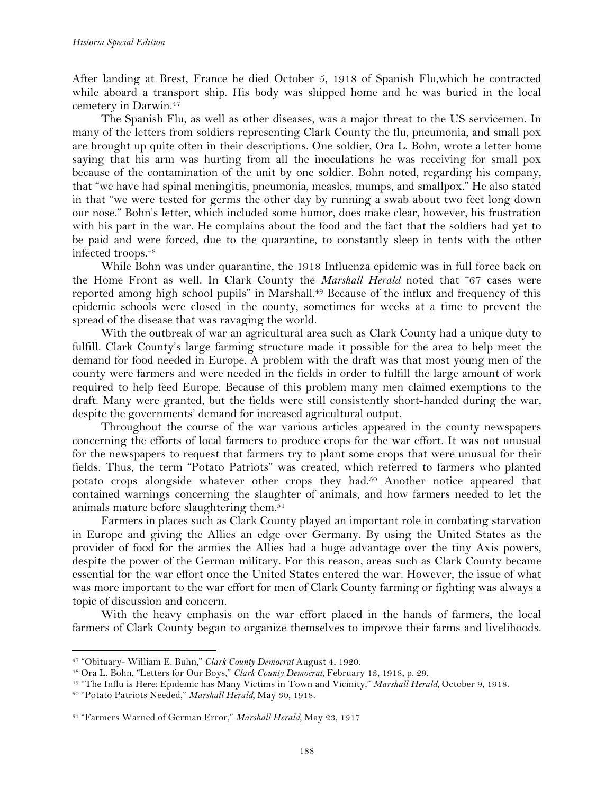After landing at Brest, France he died October 5, 1918 of Spanish Flu,which he contracted while aboard a transport ship. His body was shipped home and he was buried in the local cemetery in Darwin.47

The Spanish Flu, as well as other diseases, was a major threat to the US servicemen. In many of the letters from soldiers representing Clark County the flu, pneumonia, and small pox are brought up quite often in their descriptions. One soldier, Ora L. Bohn, wrote a letter home saying that his arm was hurting from all the inoculations he was receiving for small pox because of the contamination of the unit by one soldier. Bohn noted, regarding his company, that "we have had spinal meningitis, pneumonia, measles, mumps, and smallpox." He also stated in that "we were tested for germs the other day by running a swab about two feet long down our nose." Bohn's letter, which included some humor, does make clear, however, his frustration with his part in the war. He complains about the food and the fact that the soldiers had yet to be paid and were forced, due to the quarantine, to constantly sleep in tents with the other infected troops.48

While Bohn was under quarantine, the 1918 Influenza epidemic was in full force back on the Home Front as well. In Clark County the *Marshall Herald* noted that "67 cases were reported among high school pupils" in Marshall.<sup>49</sup> Because of the influx and frequency of this epidemic schools were closed in the county, sometimes for weeks at a time to prevent the spread of the disease that was ravaging the world.

With the outbreak of war an agricultural area such as Clark County had a unique duty to fulfill. Clark County's large farming structure made it possible for the area to help meet the demand for food needed in Europe. A problem with the draft was that most young men of the county were farmers and were needed in the fields in order to fulfill the large amount of work required to help feed Europe. Because of this problem many men claimed exemptions to the draft. Many were granted, but the fields were still consistently short-handed during the war, despite the governments' demand for increased agricultural output.

Throughout the course of the war various articles appeared in the county newspapers concerning the efforts of local farmers to produce crops for the war effort. It was not unusual for the newspapers to request that farmers try to plant some crops that were unusual for their fields. Thus, the term "Potato Patriots" was created, which referred to farmers who planted potato crops alongside whatever other crops they had.50 Another notice appeared that contained warnings concerning the slaughter of animals, and how farmers needed to let the animals mature before slaughtering them.<sup>51</sup>

Farmers in places such as Clark County played an important role in combating starvation in Europe and giving the Allies an edge over Germany. By using the United States as the provider of food for the armies the Allies had a huge advantage over the tiny Axis powers, despite the power of the German military. For this reason, areas such as Clark County became essential for the war effort once the United States entered the war. However, the issue of what was more important to the war effort for men of Clark County farming or fighting was always a topic of discussion and concern.

With the heavy emphasis on the war effort placed in the hands of farmers, the local farmers of Clark County began to organize themselves to improve their farms and livelihoods.

<sup>47</sup> "Obituary- William E. Buhn," *Clark County Democrat* August 4, 1920.

<sup>48</sup> Ora L. Bohn, "Letters for Our Boys," *Clark County Democrat,* February 13, 1918, p. 29.

<sup>49</sup> "The Influ is Here: Epidemic has Many Victims in Town and Vicinity," *Marshall Herald,* October 9, 1918.

<sup>50</sup> "Potato Patriots Needed," *Marshall Herald,* May 30, 1918.

<sup>51</sup> "Farmers Warned of German Error," *Marshall Herald,* May 23, 1917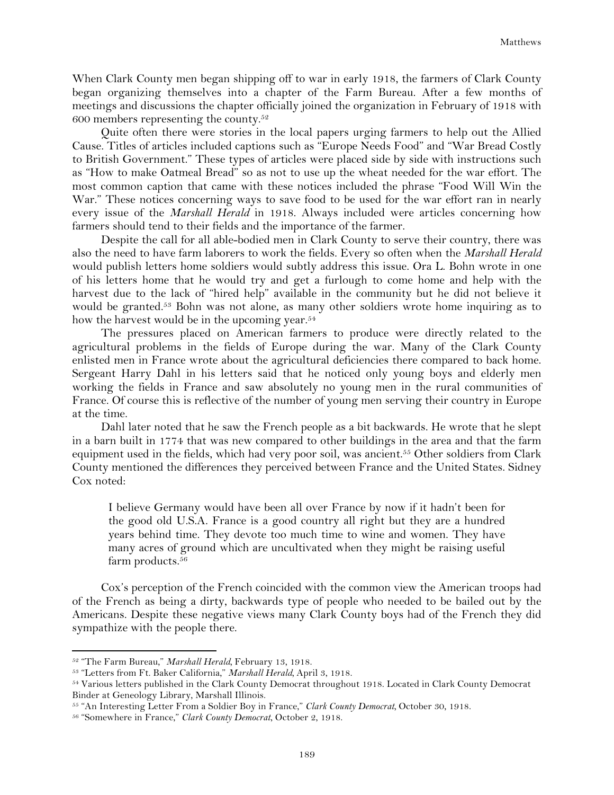When Clark County men began shipping off to war in early 1918, the farmers of Clark County began organizing themselves into a chapter of the Farm Bureau. After a few months of meetings and discussions the chapter officially joined the organization in February of 1918 with 600 members representing the county.<sup>52</sup>

Quite often there were stories in the local papers urging farmers to help out the Allied Cause. Titles of articles included captions such as "Europe Needs Food" and "War Bread Costly to British Government." These types of articles were placed side by side with instructions such as "How to make Oatmeal Bread" so as not to use up the wheat needed for the war effort. The most common caption that came with these notices included the phrase "Food Will Win the War." These notices concerning ways to save food to be used for the war effort ran in nearly every issue of the *Marshall Herald* in 1918. Always included were articles concerning how farmers should tend to their fields and the importance of the farmer.

Despite the call for all able-bodied men in Clark County to serve their country, there was also the need to have farm laborers to work the fields. Every so often when the *Marshall Herald*  would publish letters home soldiers would subtly address this issue. Ora L. Bohn wrote in one of his letters home that he would try and get a furlough to come home and help with the harvest due to the lack of "hired help" available in the community but he did not believe it would be granted.<sup>53</sup> Bohn was not alone, as many other soldiers wrote home inquiring as to how the harvest would be in the upcoming year.<sup>54</sup>

The pressures placed on American farmers to produce were directly related to the agricultural problems in the fields of Europe during the war. Many of the Clark County enlisted men in France wrote about the agricultural deficiencies there compared to back home. Sergeant Harry Dahl in his letters said that he noticed only young boys and elderly men working the fields in France and saw absolutely no young men in the rural communities of France. Of course this is reflective of the number of young men serving their country in Europe at the time.

Dahl later noted that he saw the French people as a bit backwards. He wrote that he slept in a barn built in 1774 that was new compared to other buildings in the area and that the farm equipment used in the fields, which had very poor soil, was ancient.<sup>55</sup> Other soldiers from Clark County mentioned the differences they perceived between France and the United States. Sidney Cox noted:

I believe Germany would have been all over France by now if it hadn't been for the good old U.S.A. France is a good country all right but they are a hundred years behind time. They devote too much time to wine and women. They have many acres of ground which are uncultivated when they might be raising useful farm products.<sup>56</sup>

Cox's perception of the French coincided with the common view the American troops had of the French as being a dirty, backwards type of people who needed to be bailed out by the Americans. Despite these negative views many Clark County boys had of the French they did sympathize with the people there.

<sup>52</sup> "The Farm Bureau," *Marshall Herald,* February 13, 1918.

<sup>53</sup> "Letters from Ft. Baker California," *Marshall Herald,* April 3, 1918.

<sup>54</sup> Various letters published in the Clark County Democrat throughout 1918. Located in Clark County Democrat Binder at Geneology Library, Marshall Illinois.

<sup>55</sup> "An Interesting Letter From a Soldier Boy in France," *Clark County Democrat,* October 30, 1918.

<sup>56</sup> "Somewhere in France," *Clark County Democrat*, October 2, 1918.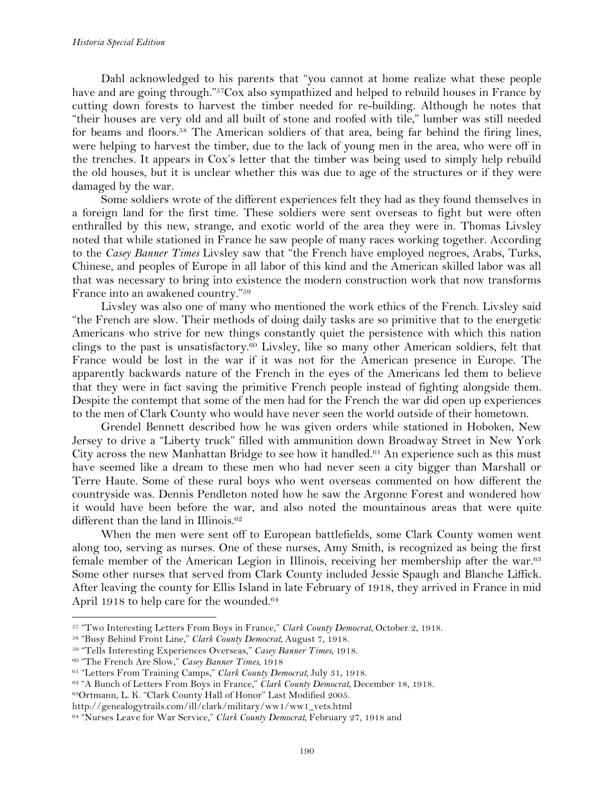Dahl acknowledged to his parents that "you cannot at home realize what these people have and are going through."<sup>57</sup>Cox also sympathized and helped to rebuild houses in France by cutting down forests to harvest the timber needed for re-building. Although he notes that "their houses are very old and all built of stone and roofed with tile," lumber was still needed for beams and floors.<sup>58</sup> The American soldiers of that area, being far behind the firing lines, were helping to harvest the timber, due to the lack of young men in the area, who were off in the trenches. It appears in Cox's letter that the timber was being used to simply help rebuild the old houses, but it is unclear whether this was due to age of the structures or if they were damaged by the war.

Some soldiers wrote of the different experiences felt they had as they found themselves in a foreign land for the first time. These soldiers were sent overseas to fight but were often enthralled by this new, strange, and exotic world of the area they were in. Thomas Livsley noted that while stationed in France he saw people of many races working together. According to the *Casey Banner Times* Livsley saw that "the French have employed negroes, Arabs, Turks, Chinese, and peoples of Europe in all labor of this kind and the American skilled labor was all that was necessary to bring into existence the modern construction work that now transforms France into an awakened country."59

Livsley was also one of many who mentioned the work ethics of the French. Livsley said "the French are slow. Their methods of doing daily tasks are so primitive that to the energetic Americans who strive for new things constantly quiet the persistence with which this nation clings to the past is unsatisfactory.60 Livsley, like so many other American soldiers, felt that France would be lost in the war if it was not for the American presence in Europe. The apparently backwards nature of the French in the eyes of the Americans led them to believe that they were in fact saving the primitive French people instead of fighting alongside them. Despite the contempt that some of the men had for the French the war did open up experiences to the men of Clark County who would have never seen the world outside of their hometown.

Grendel Bennett described how he was given orders while stationed in Hoboken, New Jersey to drive a "Liberty truck" filled with ammunition down Broadway Street in New York City across the new Manhattan Bridge to see how it handled.<sup>61</sup> An experience such as this must have seemed like a dream to these men who had never seen a city bigger than Marshall or Terre Haute. Some of these rural boys who went overseas commented on how different the countryside was. Dennis Pendleton noted how he saw the Argonne Forest and wondered how it would have been before the war, and also noted the mountainous areas that were quite different than the land in Illinois.<sup>62</sup>

When the men were sent off to European battlefields, some Clark County women went along too, serving as nurses. One of these nurses, Amy Smith, is recognized as being the first female member of the American Legion in Illinois, receiving her membership after the war.63 Some other nurses that served from Clark County included Jessie Spaugh and Blanche Liffick. After leaving the county for Ellis Island in late February of 1918, they arrived in France in mid April 1918 to help care for the wounded.<sup>64</sup>

!!!!!!!!!!!!!!!!!!!!!!!!!!!!!!!!!!!!!!!!!!!!!!!!!!!!!!!!!!!!

63Ortmann, L. K. "Clark County Hall of Honor" Last Modified 2005.

<sup>57</sup> "Two Interesting Letters From Boys in France," *Clark County Democrat,* October 2, 1918.

<sup>58</sup> "Busy Behind Front Line," *Clark County Democrat,* August 7, 1918.

<sup>59</sup> "Tells Interesting Experiences Overseas," *Casey Banner Times,* 1918.

<sup>60</sup> "The French Are Slow," *Casey Banner Times,* 1918

<sup>61</sup> "Letters From Training Camps," *Clark County Democrat,* July 31, 1918.

<sup>62</sup> "A Bunch of Letters From Boys in France," *Clark County Democrat,* December 18, 1918.

http://genealogytrails.com/ill/clark/military/ww1/ww1\_vets.html

<sup>64</sup> "Nurses Leave for War Service," *Clark County Democrat,* February 27, 1918 and